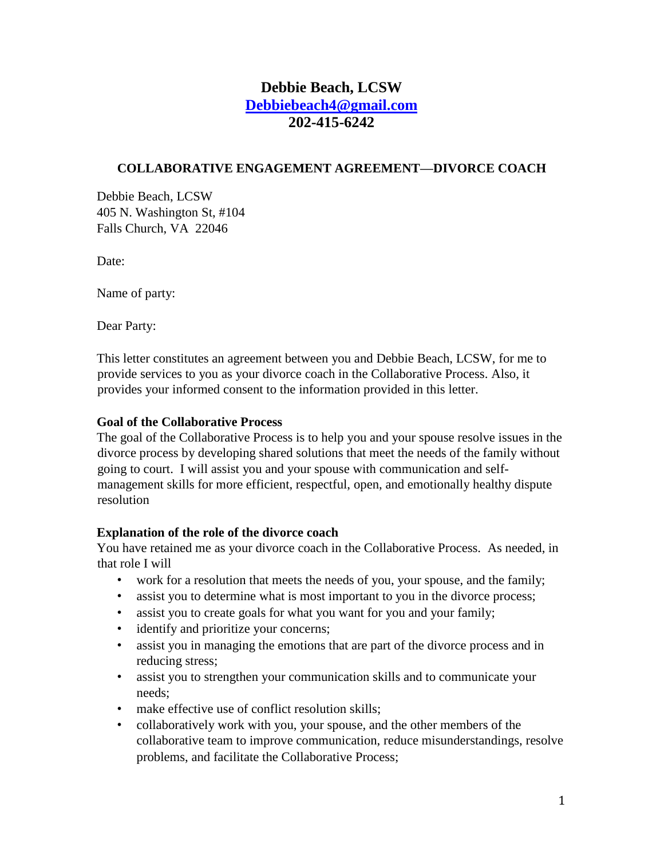# **Debbie Beach, LCSW Debbiebeach4@gmail.com 202-415-6242**

#### **COLLABORATIVE ENGAGEMENT AGREEMENT—DIVORCE COACH**

Debbie Beach, LCSW 405 N. Washington St, #104 Falls Church, VA 22046

Date:

Name of party:

Dear Party:

This letter constitutes an agreement between you and Debbie Beach, LCSW, for me to provide services to you as your divorce coach in the Collaborative Process. Also, it provides your informed consent to the information provided in this letter.

#### **Goal of the Collaborative Process**

The goal of the Collaborative Process is to help you and your spouse resolve issues in the divorce process by developing shared solutions that meet the needs of the family without going to court. I will assist you and your spouse with communication and selfmanagement skills for more efficient, respectful, open, and emotionally healthy dispute resolution

#### **Explanation of the role of the divorce coach**

You have retained me as your divorce coach in the Collaborative Process. As needed, in that role I will

- work for a resolution that meets the needs of you, your spouse, and the family;
- assist you to determine what is most important to you in the divorce process;
- assist you to create goals for what you want for you and your family;
- identify and prioritize your concerns;
- assist you in managing the emotions that are part of the divorce process and in reducing stress;
- assist you to strengthen your communication skills and to communicate your needs;
- make effective use of conflict resolution skills;
- collaboratively work with you, your spouse, and the other members of the collaborative team to improve communication, reduce misunderstandings, resolve problems, and facilitate the Collaborative Process;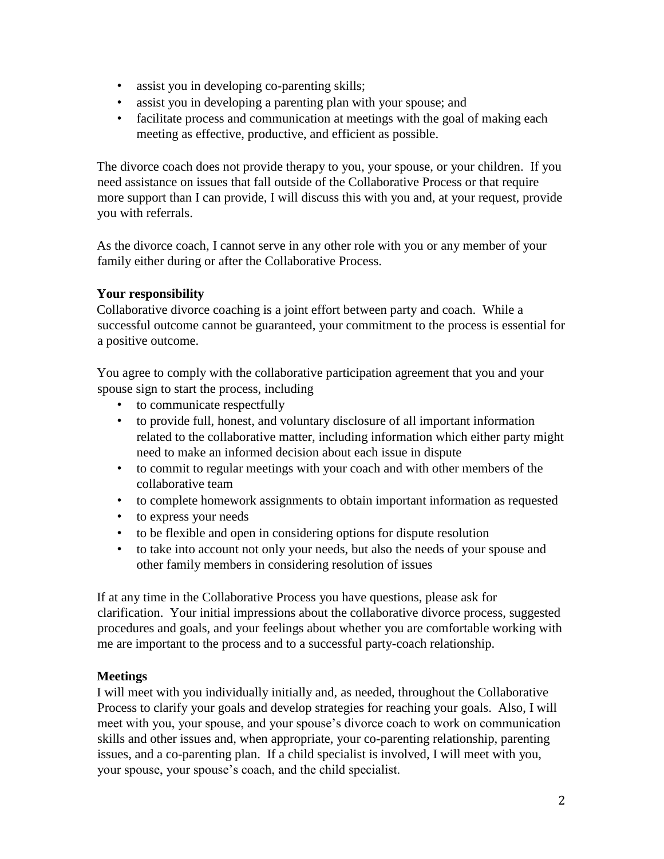- assist you in developing co-parenting skills;
- assist you in developing a parenting plan with your spouse; and
- facilitate process and communication at meetings with the goal of making each meeting as effective, productive, and efficient as possible.

The divorce coach does not provide therapy to you, your spouse, or your children. If you need assistance on issues that fall outside of the Collaborative Process or that require more support than I can provide, I will discuss this with you and, at your request, provide you with referrals.

As the divorce coach, I cannot serve in any other role with you or any member of your family either during or after the Collaborative Process.

## **Your responsibility**

Collaborative divorce coaching is a joint effort between party and coach. While a successful outcome cannot be guaranteed, your commitment to the process is essential for a positive outcome.

You agree to comply with the collaborative participation agreement that you and your spouse sign to start the process, including

- to communicate respectfully
- to provide full, honest, and voluntary disclosure of all important information related to the collaborative matter, including information which either party might need to make an informed decision about each issue in dispute
- to commit to regular meetings with your coach and with other members of the collaborative team
- to complete homework assignments to obtain important information as requested
- to express your needs
- to be flexible and open in considering options for dispute resolution
- to take into account not only your needs, but also the needs of your spouse and other family members in considering resolution of issues

If at any time in the Collaborative Process you have questions, please ask for clarification. Your initial impressions about the collaborative divorce process, suggested procedures and goals, and your feelings about whether you are comfortable working with me are important to the process and to a successful party-coach relationship.

## **Meetings**

I will meet with you individually initially and, as needed, throughout the Collaborative Process to clarify your goals and develop strategies for reaching your goals. Also, I will meet with you, your spouse, and your spouse's divorce coach to work on communication skills and other issues and, when appropriate, your co-parenting relationship, parenting issues, and a co-parenting plan. If a child specialist is involved, I will meet with you, your spouse, your spouse's coach, and the child specialist.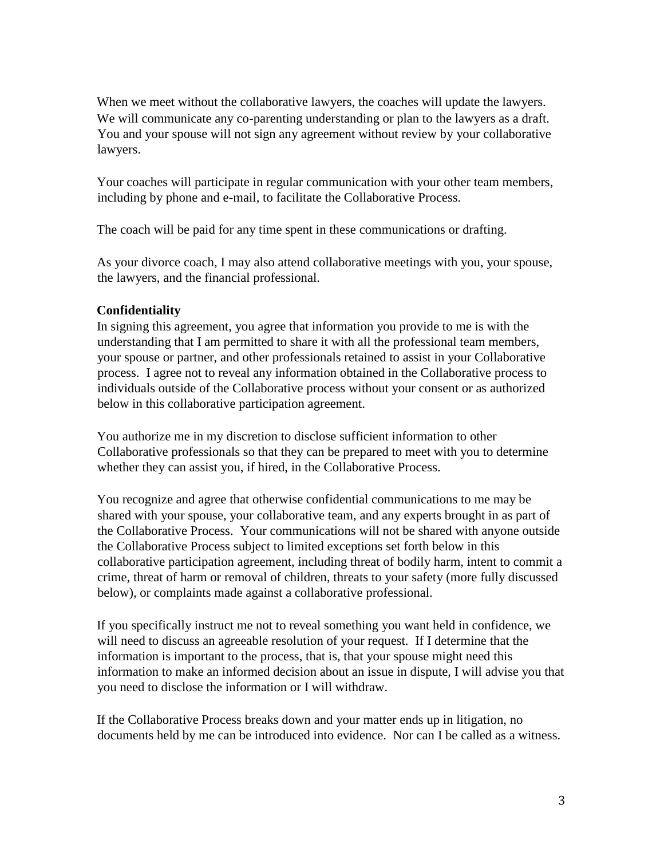When we meet without the collaborative lawyers, the coaches will update the lawyers. We will communicate any co-parenting understanding or plan to the lawyers as a draft. You and your spouse will not sign any agreement without review by your collaborative lawyers.

Your coaches will participate in regular communication with your other team members, including by phone and e-mail, to facilitate the Collaborative Process.

The coach will be paid for any time spent in these communications or drafting.

As your divorce coach, I may also attend collaborative meetings with you, your spouse, the lawyers, and the financial professional.

### **Confidentiality**

In signing this agreement, you agree that information you provide to me is with the understanding that I am permitted to share it with all the professional team members, your spouse or partner, and other professionals retained to assist in your Collaborative process. I agree not to reveal any information obtained in the Collaborative process to individuals outside of the Collaborative process without your consent or as authorized below in this collaborative participation agreement.

You authorize me in my discretion to disclose sufficient information to other Collaborative professionals so that they can be prepared to meet with you to determine whether they can assist you, if hired, in the Collaborative Process.

You recognize and agree that otherwise confidential communications to me may be shared with your spouse, your collaborative team, and any experts brought in as part of the Collaborative Process. Your communications will not be shared with anyone outside the Collaborative Process subject to limited exceptions set forth below in this collaborative participation agreement, including threat of bodily harm, intent to commit a crime, threat of harm or removal of children, threats to your safety (more fully discussed below), or complaints made against a collaborative professional.

If you specifically instruct me not to reveal something you want held in confidence, we will need to discuss an agreeable resolution of your request. If I determine that the information is important to the process, that is, that your spouse might need this information to make an informed decision about an issue in dispute, I will advise you that you need to disclose the information or I will withdraw.

If the Collaborative Process breaks down and your matter ends up in litigation, no documents held by me can be introduced into evidence. Nor can I be called as a witness.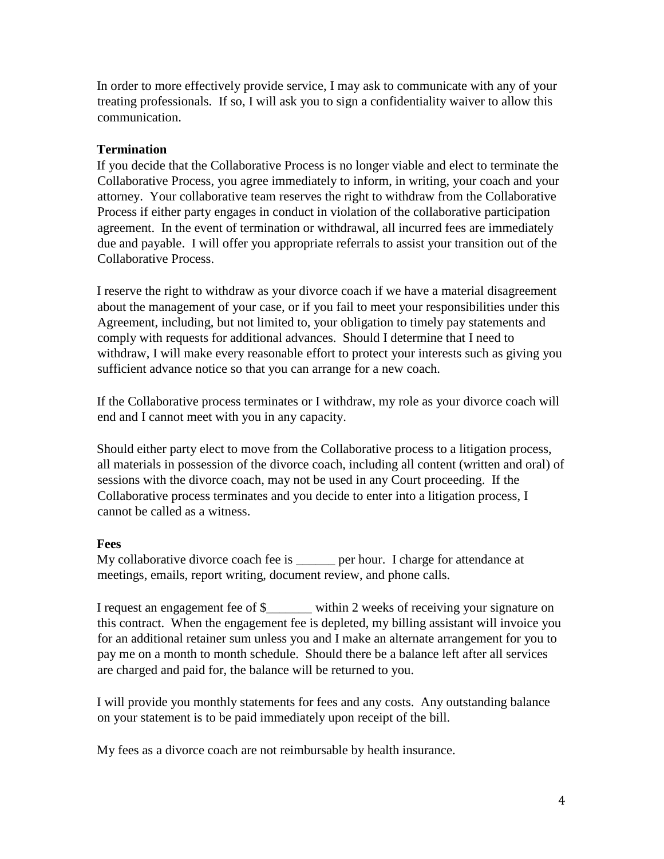In order to more effectively provide service, I may ask to communicate with any of your treating professionals. If so, I will ask you to sign a confidentiality waiver to allow this communication.

#### **Termination**

If you decide that the Collaborative Process is no longer viable and elect to terminate the Collaborative Process, you agree immediately to inform, in writing, your coach and your attorney. Your collaborative team reserves the right to withdraw from the Collaborative Process if either party engages in conduct in violation of the collaborative participation agreement. In the event of termination or withdrawal, all incurred fees are immediately due and payable. I will offer you appropriate referrals to assist your transition out of the Collaborative Process.

I reserve the right to withdraw as your divorce coach if we have a material disagreement about the management of your case, or if you fail to meet your responsibilities under this Agreement, including, but not limited to, your obligation to timely pay statements and comply with requests for additional advances. Should I determine that I need to withdraw, I will make every reasonable effort to protect your interests such as giving you sufficient advance notice so that you can arrange for a new coach.

If the Collaborative process terminates or I withdraw, my role as your divorce coach will end and I cannot meet with you in any capacity.

Should either party elect to move from the Collaborative process to a litigation process, all materials in possession of the divorce coach, including all content (written and oral) of sessions with the divorce coach, may not be used in any Court proceeding. If the Collaborative process terminates and you decide to enter into a litigation process, I cannot be called as a witness.

### **Fees**

My collaborative divorce coach fee is \_\_\_\_\_\_ per hour. I charge for attendance at meetings, emails, report writing, document review, and phone calls.

I request an engagement fee of \$\_\_\_\_\_\_\_ within 2 weeks of receiving your signature on this contract. When the engagement fee is depleted, my billing assistant will invoice you for an additional retainer sum unless you and I make an alternate arrangement for you to pay me on a month to month schedule. Should there be a balance left after all services are charged and paid for, the balance will be returned to you.

I will provide you monthly statements for fees and any costs. Any outstanding balance on your statement is to be paid immediately upon receipt of the bill.

My fees as a divorce coach are not reimbursable by health insurance.